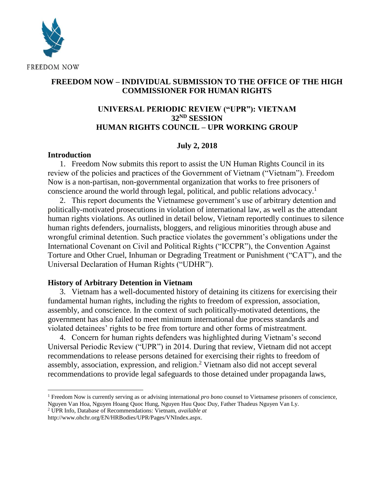

## **FREEDOM NOW – INDIVIDUAL SUBMISSION TO THE OFFICE OF THE HIGH COMMISSIONER FOR HUMAN RIGHTS**

# **UNIVERSAL PERIODIC REVIEW ("UPR"): VIETNAM 32ND SESSION HUMAN RIGHTS COUNCIL – UPR WORKING GROUP**

### **July 2, 2018**

#### **Introduction**

l

1. Freedom Now submits this report to assist the UN Human Rights Council in its review of the policies and practices of the Government of Vietnam ("Vietnam"). Freedom Now is a non-partisan, non-governmental organization that works to free prisoners of conscience around the world through legal, political, and public relations advocacy.<sup>1</sup>

2. This report documents the Vietnamese government's use of arbitrary detention and politically-motivated prosecutions in violation of international law, as well as the attendant human rights violations. As outlined in detail below, Vietnam reportedly continues to silence human rights defenders, journalists, bloggers, and religious minorities through abuse and wrongful criminal detention. Such practice violates the government's obligations under the International Covenant on Civil and Political Rights ("ICCPR"), the Convention Against Torture and Other Cruel, Inhuman or Degrading Treatment or Punishment ("CAT"), and the Universal Declaration of Human Rights ("UDHR").

### **History of Arbitrary Detention in Vietnam**

3. Vietnam has a well-documented history of detaining its citizens for exercising their fundamental human rights, including the rights to freedom of expression, association, assembly, and conscience. In the context of such politically-motivated detentions, the government has also failed to meet minimum international due process standards and violated detainees' rights to be free from torture and other forms of mistreatment.

4. Concern for human rights defenders was highlighted during Vietnam's second Universal Periodic Review ("UPR") in 2014. During that review, Vietnam did not accept recommendations to release persons detained for exercising their rights to freedom of assembly, association, expression, and religion. <sup>2</sup> Vietnam also did not accept several recommendations to provide legal safeguards to those detained under propaganda laws,

<sup>1</sup> Freedom Now is currently serving as or advising international *pro bono* counsel to Vietnamese prisoners of conscience, Nguyen Van Hoa, Nguyen Hoang Quoc Hung, Nguyen Huu Quoc Duy, Father Thadeus Nguyen Van Ly.

<sup>2</sup> UPR Info, Database of Recommendations: Vietnam, *available at*

http://www.ohchr.org/EN/HRBodies/UPR/Pages/VNIndex.aspx.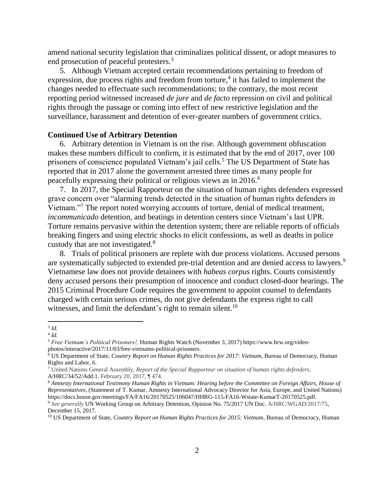amend national security legislation that criminalizes political dissent, or adopt measures to end prosecution of peaceful protesters.<sup>3</sup>

5. Although Vietnam accepted certain recommendations pertaining to freedom of expression, due process rights and freedom from torture,<sup>4</sup> it has failed to implement the changes needed to effectuate such recommendations; to the contrary, the most recent reporting period witnessed increased *de jure* and *de facto* repression on civil and political rights through the passage or coming into effect of new restrictive legislation and the surveillance, harassment and detention of ever-greater numbers of government critics.

#### **Continued Use of Arbitrary Detention**

6. Arbitrary detention in Vietnam is on the rise. Although government obfuscation makes these numbers difficult to confirm, it is estimated that by the end of 2017, over 100 prisoners of conscience populated Vietnam's jail cells.<sup>5</sup> The US Department of State has reported that in 2017 alone the government arrested three times as many people for peacefully expressing their political or religious views as in 2016.<sup>6</sup>

7. In 2017, the Special Rapporteur on the situation of human rights defenders expressed grave concern over "alarming trends detected in the situation of human rights defenders in Vietnam."<sup>7</sup> The report noted worrying accounts of torture, denial of medical treatment, *incommunicado* detention, and beatings in detention centers since Vietnam's last UPR. Torture remains pervasive within the detention system; there are reliable reports of officials breaking fingers and using electric shocks to elicit confessions, as well as deaths in police custody that are not investigated.<sup>8</sup>

8. Trials of political prisoners are replete with due process violations. Accused persons are systematically subjected to extended pre-trial detention and are denied access to lawyers.<sup>9</sup> Vietnamese law does not provide detainees with *habeas corpus* rights. Courts consistently deny accused persons their presumption of innocence and conduct closed-door hearings. The 2015 Criminal Procedure Code requires the government to appoint counsel to defendants charged with certain serious crimes, do not give defendants the express right to call witnesses, and limit the defendant's right to remain silent.<sup>10</sup>

l 3 *Id.*

<sup>4</sup> *Id.*

<sup>5</sup> *Free Vietnam's Political Prisoners!,* Human Rights Watch (November 3, 2017) https://www.hrw.org/videophotos/interactive/2017/11/03/free-vietnams-political-prisoners.

<sup>6</sup> US Department of State, *Country Report on Human Rights Practices for 2017: Vietnam*, Bureau of Democracy, Human Rights and Labor, 6.

<sup>7</sup> United Nations General Assembly, *Report of the Special Rapporteur on situation of human rights defenders*, A/HRC/34/52/Add.1, February 20, 2017, ¶ 474.

<sup>8</sup> *Amnesty International Testimony Human Rights in Vietnam: Hearing before the Committee on Foreign Affairs, House of Representatives*, (Statement of T. Kumar, Amnesty International Advocacy Director for Asia, Europe, and United Nations) https://docs.house.gov/meetings/FA/FA16/20170525/106047/HHRG-115-FA16-Wstate-KumarT-20170525.pdf.

<sup>9</sup> *See generally* UN Working Group on Arbitrary Detention, Opinion No. 75/2017 UN Doc. A/HRC/WGAD/2017/75, December 15, 2017.

<sup>10</sup> US Department of State, *Country Report on Human Rights Practices for 2015: Vietnam*, Bureau of Democracy, Human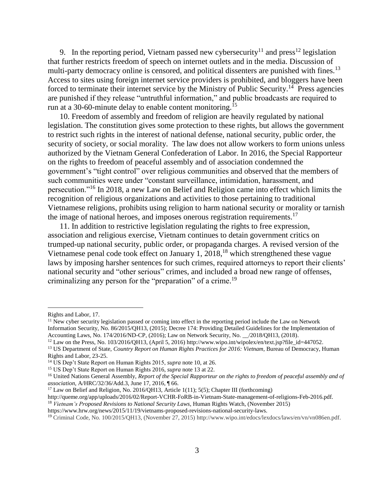<span id="page-2-1"></span>9. In the reporting period, Vietnam passed new cybersecurity<sup>11</sup> and press<sup>12</sup> legislation that further restricts freedom of speech on internet outlets and in the media. Discussion of multi-party democracy online is censored, and political dissenters are punished with fines.<sup>13</sup> Access to sites using foreign internet service providers is prohibited, and bloggers have been forced to terminate their internet service by the Ministry of Public Security.<sup>14</sup> Press agencies are punished if they release "untruthful information," and public broadcasts are required to run at a 30-60-minute delay to enable content monitoring.<sup>15</sup>

<span id="page-2-0"></span>10. Freedom of assembly and freedom of religion are heavily regulated by national legislation. The constitution gives some protection to these rights, but allows the government to restrict such rights in the interest of national defense, national security, public order, the security of society, or social morality. The law does not allow workers to form unions unless authorized by the Vietnam General Confederation of Labor. In 2016, the Special Rapporteur on the rights to freedom of peaceful assembly and of association condemned the government's "tight control" over religious communities and observed that the members of such communities were under "constant surveillance, intimidation, harassment, and persecution."<sup>16</sup> In 2018, a new Law on Belief and Religion came into effect which limits the recognition of religious organizations and activities to those pertaining to traditional Vietnamese religions, prohibits using religion to harm national security or morality or tarnish the image of national heroes, and imposes onerous registration requirements.<sup>17</sup>

11. In addition to restrictive legislation regulating the rights to free expression, association and religious exercise, Vietnam continues to detain government critics on trumped-up national security, public order, or propaganda charges. A revised version of the Vietnamese penal code took effect on January 1, 2018,<sup>18</sup> which strengthened these vague laws by imposing harsher sentences for such crimes, required attorneys to report their clients' national security and "other serious" crimes, and included a broad new range of offenses, criminalizing any person for the "preparation" of a crime.<sup>19</sup>

l

Rights and Labor, 17.

 $11$  New cyber security legislation passed or coming into effect in the reporting period include the Law on Network Information Security, No. 86/2015/QH13, (2015); Decree 174: Providing Detailed Guidelines for the Implementation of Accounting Laws, No. 174/2016/ND-CP, (2016); Law on Network Security, No. \_\_/2018/QH13, (2018).

<sup>12</sup> Law on the Press, No. 103/2016/QH13, (April 5, 2016) http://www.wipo.int/wipolex/en/text.jsp?file\_id=447052.

<sup>13</sup> US Department of State, *Country Report on Human Rights Practices for 2016: Vietnam*, Bureau of Democracy, Human Rights and Labor, 23-25.

<sup>14</sup> US Dep't State Report on Human Rights 2015, *supra* not[e 10,](#page-2-0) at 26.

<sup>15</sup> US Dep't State Report on Human Rights 2016, *supra* not[e 13](#page-2-1) at 22.

<sup>16</sup> United Nations General Assembly, *Report of the Special Rapporteur on the rights to freedom of peaceful assembly and of association*, A/HRC/32/36/Add.3, June 17, 2016, ¶ 66.

<sup>&</sup>lt;sup>17</sup> Law on Belief and Religion, No. 2016/QH13, Article 1(11); 5(5); Chapter III (forthcoming)

http://queme.org/app/uploads/2016/02/Report-VCHR-FoRB-in-Vietnam-State-management-of-religions-Feb-2016.pdf. <sup>18</sup> *Vietnam's Proposed Revisions to National Security Laws*, Human Rights Watch, (November 2015)

https://www.hrw.org/news/2015/11/19/vietnams-proposed-revisions-national-security-laws.

<sup>19</sup> Criminal Code, No. 100/2015/QH13, (November 27, 2015) http://www.wipo.int/edocs/lexdocs/laws/en/vn/vn086en.pdf.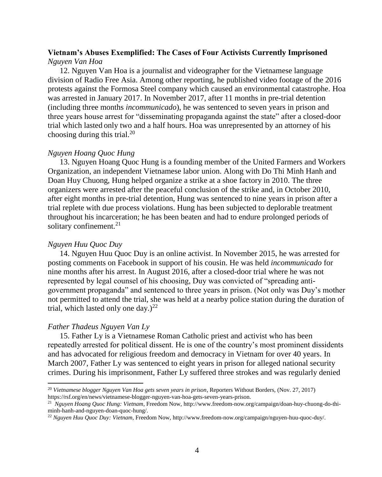### **Vietnam's Abuses Exemplified: The Cases of Four Activists Currently Imprisoned** *Nguyen Van Hoa*

12. Nguyen Van Hoa is a journalist and videographer for the Vietnamese language division of Radio Free Asia. Among other reporting, he published video footage of the 2016 protests against the Formosa Steel company which caused an environmental catastrophe. Hoa was arrested in January 2017. In November 2017, after 11 months in pre-trial detention (including three months *incommunicado*), he was sentenced to seven years in prison and three years house arrest for "disseminating propaganda against the state" after a closed-door trial which lasted only two and a half hours. Hoa was unrepresented by an attorney of his choosing during this trial.<sup>20</sup>

### *Nguyen Hoang Quoc Hung*

13. Nguyen Hoang Quoc Hung is a founding member of the United Farmers and Workers Organization, an independent Vietnamese labor union. Along with Do Thi Minh Hanh and Doan Huy Chuong, Hung helped organize a strike at a shoe factory in 2010. The three organizers were arrested after the peaceful conclusion of the strike and, in October 2010, after eight months in pre-trial detention, Hung was sentenced to nine years in prison after a trial replete with due process violations. Hung has been subjected to deplorable treatment throughout his incarceration; he has been beaten and had to endure prolonged periods of solitary confinement.<sup>21</sup>

### *Nguyen Huu Quoc Duy*

14. Nguyen Huu Quoc Duy is an online activist. In November 2015, he was arrested for posting comments on Facebook in support of his cousin. He was held *incommunicado* for nine months after his arrest. In August 2016, after a closed-door trial where he was not represented by legal counsel of his choosing, Duy was convicted of "spreading antigovernment propaganda" and sentenced to three years in prison. (Not only was Duy's mother not permitted to attend the trial, she was held at a nearby police station during the duration of trial, which lasted only one day.)<sup>22</sup>

### *Father Thadeus Nguyen Van Ly*

l

15. Father Ly is a Vietnamese Roman Catholic priest and activist who has been repeatedly arrested for political dissent. He is one of the country's most prominent dissidents and has advocated for religious freedom and democracy in Vietnam for over 40 years. In March 2007, Father Ly was sentenced to eight years in prison for alleged national security crimes. During his imprisonment, Father Ly suffered three strokes and was regularly denied

<sup>20</sup> *Vietnamese blogger Nguyen Van Hoa gets seven years in prison*, Reporters Without Borders, (Nov. 27, 2017) https://rsf.org/en/news/vietnamese-blogger-nguyen-van-hoa-gets-seven-years-prison.

<sup>21</sup> *Nguyen Hoang Quoc Hung: Vietnam*, Freedom Now, http://www.freedom-now.org/campaign/doan-huy-chuong-do-thiminh-hanh-and-nguyen-doan-quoc-hung/.

<sup>22</sup> *Nguyen Huu Quoc Duy: Vietnam*, Freedom Now, http://www.freedom-now.org/campaign/nguyen-huu-quoc-duy/.